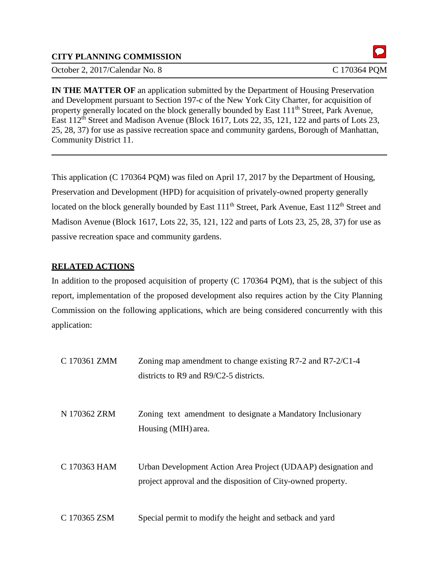## **CITY PLANNING COMMISSION**

October 2, 2017/Calendar No. 8 C 170364 POM

**IN THE MATTER OF** an application submitted by the Department of Housing Preservation and Development pursuant to Section 197-c of the New York City Charter, for acquisition of property generally located on the block generally bounded by East 111<sup>th</sup> Street, Park Avenue, East 112<sup>th</sup> Street and Madison Avenue (Block 1617, Lots 22, 35, 121, 122 and parts of Lots 23, 25, 28, 37) for use as passive recreation space and community gardens, Borough of Manhattan, Community District 11.

This application (C 170364 PQM) was filed on April 17, 2017 by the Department of Housing, Preservation and Development (HPD) for acquisition of privately-owned property generally located on the block generally bounded by East 111<sup>th</sup> Street, Park Avenue, East 112<sup>th</sup> Street and Madison Avenue (Block 1617, Lots 22, 35, 121, 122 and parts of Lots 23, 25, 28, 37) for use as passive recreation space and community gardens.

## **RELATED ACTIONS**

In addition to the proposed acquisition of property (C 170364 PQM), that is the subject of this report, implementation of the proposed development also requires action by the City Planning Commission on the following applications, which are being considered concurrently with this application:

| C 170361 ZMM | Zoning map amendment to change existing $R7-2$ and $R7-2/C1-4$<br>districts to $R9$ and $R9/C2-5$ districts.                  |
|--------------|-------------------------------------------------------------------------------------------------------------------------------|
| N 170362 ZRM | Zoning text amendment to designate a Mandatory Inclusionary<br>Housing (MIH) area.                                            |
| C 170363 HAM | Urban Development Action Area Project (UDAAP) designation and<br>project approval and the disposition of City-owned property. |
| C 170365 ZSM | Special permit to modify the height and setback and yard                                                                      |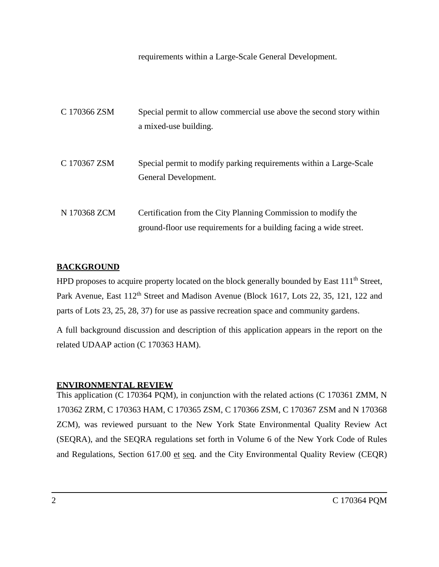requirements within a Large-Scale General Development.

| C 170366 ZSM | Special permit to allow commercial use above the second story within<br>a mixed-use building.                                       |
|--------------|-------------------------------------------------------------------------------------------------------------------------------------|
| C 170367 ZSM | Special permit to modify parking requirements within a Large-Scale<br>General Development.                                          |
| N 170368 ZCM | Certification from the City Planning Commission to modify the<br>ground-floor use requirements for a building facing a wide street. |

## **BACKGROUND**

HPD proposes to acquire property located on the block generally bounded by East 111<sup>th</sup> Street, Park Avenue, East 112<sup>th</sup> Street and Madison Avenue (Block 1617, Lots 22, 35, 121, 122 and parts of Lots 23, 25, 28, 37) for use as passive recreation space and community gardens.

A full background discussion and description of this application appears in the report on the related UDAAP action (C 170363 HAM).

#### **ENVIRONMENTAL REVIEW**

This application (C 170364 PQM), in conjunction with the related actions (C 170361 ZMM, N 170362 ZRM, C 170363 HAM, C 170365 ZSM, C 170366 ZSM, C 170367 ZSM and N 170368 ZCM), was reviewed pursuant to the New York State Environmental Quality Review Act (SEQRA), and the SEQRA regulations set forth in Volume 6 of the New York Code of Rules and Regulations, Section 617.00 et seq. and the City Environmental Quality Review (CEQR)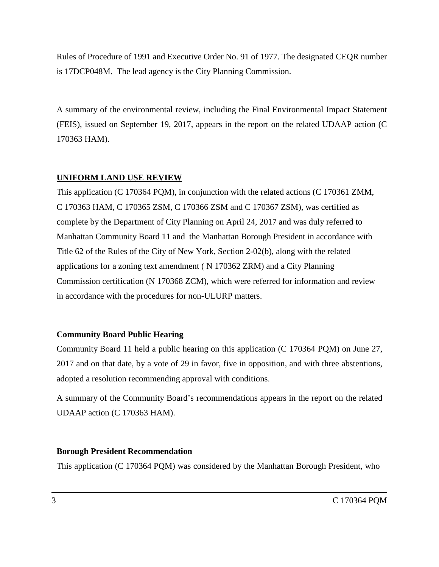Rules of Procedure of 1991 and Executive Order No. 91 of 1977. The designated CEQR number is 17DCP048M. The lead agency is the City Planning Commission.

A summary of the environmental review, including the Final Environmental Impact Statement (FEIS), issued on September 19, 2017, appears in the report on the related UDAAP action (C 170363 HAM).

## **UNIFORM LAND USE REVIEW**

This application (C 170364 PQM), in conjunction with the related actions (C 170361 ZMM, C 170363 HAM, C 170365 ZSM, C 170366 ZSM and C 170367 ZSM), was certified as complete by the Department of City Planning on April 24, 2017 and was duly referred to Manhattan Community Board 11 and the Manhattan Borough President in accordance with Title 62 of the Rules of the City of New York, Section 2-02(b), along with the related applications for a zoning text amendment ( N 170362 ZRM) and a City Planning Commission certification (N 170368 ZCM), which were referred for information and review in accordance with the procedures for non-ULURP matters.

#### **Community Board Public Hearing**

Community Board 11 held a public hearing on this application (C 170364 PQM) on June 27, 2017 and on that date, by a vote of 29 in favor, five in opposition, and with three abstentions, adopted a resolution recommending approval with conditions.

A summary of the Community Board's recommendations appears in the report on the related UDAAP action (C 170363 HAM).

#### **Borough President Recommendation**

This application (C 170364 PQM) was considered by the Manhattan Borough President, who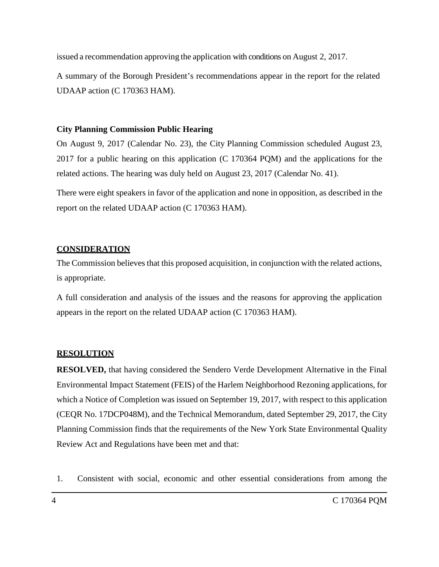issued a recommendation approving the application with conditions on August 2, 2017.

A summary of the Borough President's recommendations appear in the report for the related UDAAP action (C 170363 HAM).

## **City Planning Commission Public Hearing**

On August 9, 2017 (Calendar No. 23), the City Planning Commission scheduled August 23, 2017 for a public hearing on this application (C 170364 PQM) and the applications for the related actions. The hearing was duly held on August 23, 2017 (Calendar No. 41).

There were eight speakers in favor of the application and none in opposition, as described in the report on the related UDAAP action (C 170363 HAM).

# **CONSIDERATION**

The Commission believes that this proposed acquisition, in conjunction with the related actions, is appropriate.

A full consideration and analysis of the issues and the reasons for approving the application appears in the report on the related UDAAP action (C 170363 HAM).

## **RESOLUTION**

**RESOLVED,** that having considered the Sendero Verde Development Alternative in the Final Environmental Impact Statement (FEIS) of the Harlem Neighborhood Rezoning applications, for which a Notice of Completion was issued on September 19, 2017, with respect to this application (CEQR No. 17DCP048M), and the Technical Memorandum, dated September 29, 2017, the City Planning Commission finds that the requirements of the New York State Environmental Quality Review Act and Regulations have been met and that:

1. Consistent with social, economic and other essential considerations from among the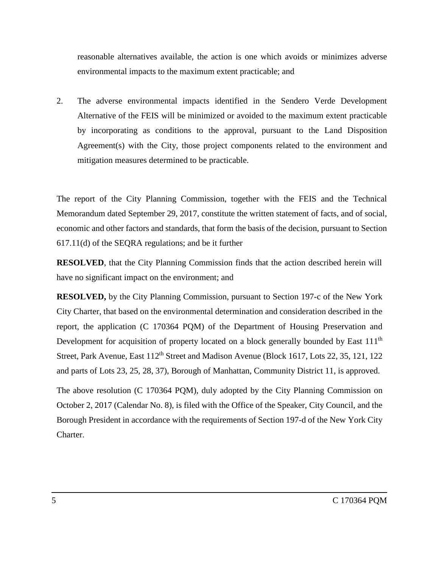reasonable alternatives available, the action is one which avoids or minimizes adverse environmental impacts to the maximum extent practicable; and

2. The adverse environmental impacts identified in the Sendero Verde Development Alternative of the FEIS will be minimized or avoided to the maximum extent practicable by incorporating as conditions to the approval, pursuant to the Land Disposition Agreement(s) with the City, those project components related to the environment and mitigation measures determined to be practicable.

The report of the City Planning Commission, together with the FEIS and the Technical Memorandum dated September 29, 2017, constitute the written statement of facts, and of social, economic and other factors and standards, that form the basis of the decision, pursuant to Section 617.11(d) of the SEQRA regulations; and be it further

**RESOLVED**, that the City Planning Commission finds that the action described herein will have no significant impact on the environment; and

**RESOLVED,** by the City Planning Commission, pursuant to Section 197-c of the New York City Charter, that based on the environmental determination and consideration described in the report, the application (C 170364 PQM) of the Department of Housing Preservation and Development for acquisition of property located on a block generally bounded by East 111<sup>th</sup> Street, Park Avenue, East 112<sup>th</sup> Street and Madison Avenue (Block 1617, Lots 22, 35, 121, 122 and parts of Lots 23, 25, 28, 37), Borough of Manhattan, Community District 11, is approved.

The above resolution (C 170364 PQM), duly adopted by the City Planning Commission on October 2, 2017 (Calendar No. 8), is filed with the Office of the Speaker, City Council, and the Borough President in accordance with the requirements of Section 197-d of the New York City Charter.